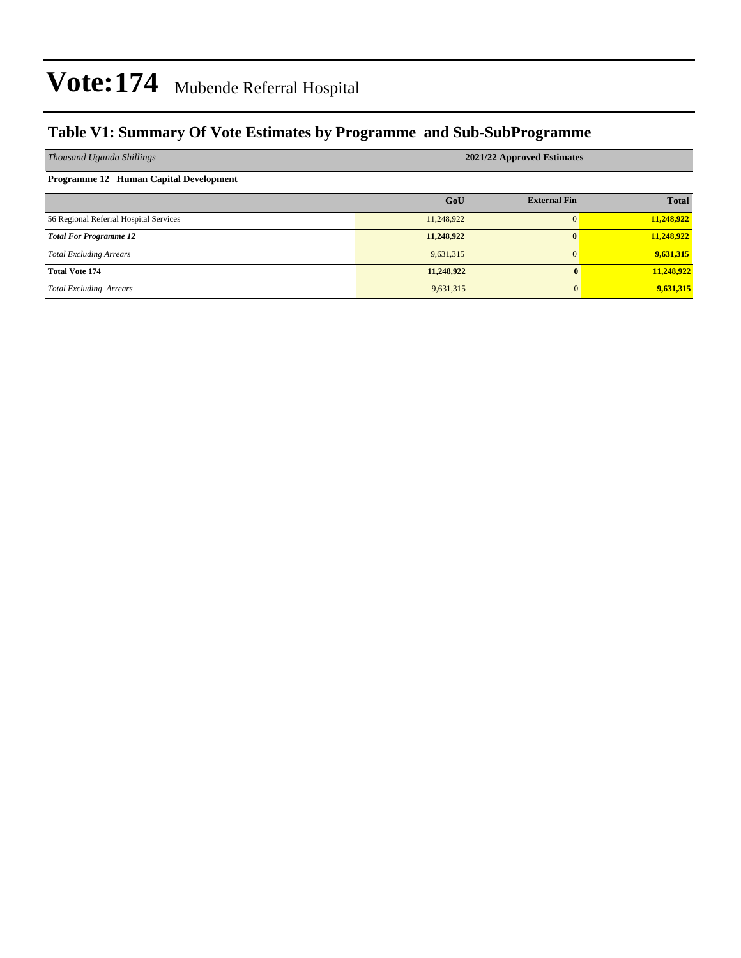### **Table V1: Summary Of Vote Estimates by Programme and Sub-SubProgramme**

| Thousand Uganda Shillings              | 2021/22 Approved Estimates |                     |              |  |  |  |  |  |
|----------------------------------------|----------------------------|---------------------|--------------|--|--|--|--|--|
| Programme 12 Human Capital Development |                            |                     |              |  |  |  |  |  |
|                                        | GoU                        | <b>External Fin</b> | <b>Total</b> |  |  |  |  |  |
| 56 Regional Referral Hospital Services | 11,248,922                 |                     | 11,248,922   |  |  |  |  |  |
| <b>Total For Programme 12</b>          | 11,248,922                 | 0                   | 11,248,922   |  |  |  |  |  |
| <b>Total Excluding Arrears</b>         | 9,631,315                  | $\Omega$            | 9,631,315    |  |  |  |  |  |
| <b>Total Vote 174</b>                  | 11,248,922                 | 0                   | 11,248,922   |  |  |  |  |  |
| <b>Total Excluding Arrears</b>         | 9,631,315                  | $\mathbf{0}$        | 9,631,315    |  |  |  |  |  |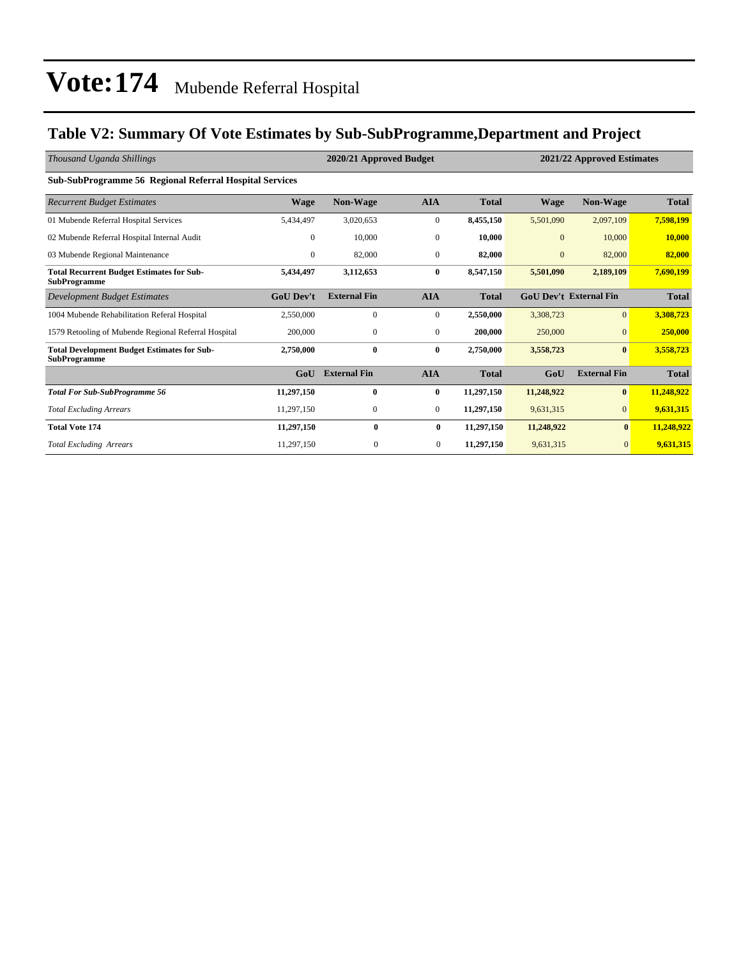### **Table V2: Summary Of Vote Estimates by Sub-SubProgramme,Department and Project**

| Thousand Uganda Shillings                                                 |                  | 2020/21 Approved Budget<br>2021/22 Approved Estimates |                  |              |                |                               |              |
|---------------------------------------------------------------------------|------------------|-------------------------------------------------------|------------------|--------------|----------------|-------------------------------|--------------|
| <b>Sub-SubProgramme 56 Regional Referral Hospital Services</b>            |                  |                                                       |                  |              |                |                               |              |
| <b>Recurrent Budget Estimates</b>                                         | <b>Wage</b>      | <b>Non-Wage</b>                                       | <b>AIA</b>       | <b>Total</b> | <b>Wage</b>    | <b>Non-Wage</b>               | <b>Total</b> |
| 01 Mubende Referral Hospital Services                                     | 5,434,497        | 3,020,653                                             | $\boldsymbol{0}$ | 8,455,150    | 5,501,090      | 2,097,109                     | 7,598,199    |
| 02 Mubende Referral Hospital Internal Audit                               | $\mathbf{0}$     | 10,000                                                | $\mathbf{0}$     | 10,000       | $\overline{0}$ | 10,000                        | 10,000       |
| 03 Mubende Regional Maintenance                                           | $\overline{0}$   | 82,000                                                | $\mathbf{0}$     | 82,000       | $\overline{0}$ | 82,000                        | 82,000       |
| <b>Total Recurrent Budget Estimates for Sub-</b><br>SubProgramme          | 5,434,497        | 3,112,653                                             | $\bf{0}$         | 8,547,150    | 5,501,090      | 2,189,109                     | 7,690,199    |
| Development Budget Estimates                                              | <b>GoU</b> Dev't | <b>External Fin</b>                                   | <b>AIA</b>       | <b>Total</b> |                | <b>GoU Dev't External Fin</b> | <b>Total</b> |
| 1004 Mubende Rehabilitation Referal Hospital                              | 2,550,000        | $\mathbf{0}$                                          | $\mathbf{0}$     | 2,550,000    | 3,308,723      | $\overline{0}$                | 3,308,723    |
| 1579 Retooling of Mubende Regional Referral Hospital                      | 200,000          | $\mathbf{0}$                                          | $\mathbf{0}$     | 200,000      | 250,000        | $\mathbf{0}$                  | 250,000      |
| <b>Total Development Budget Estimates for Sub-</b><br><b>SubProgramme</b> | 2,750,000        | $\bf{0}$                                              | $\bf{0}$         | 2,750,000    | 3,558,723      | $\bf{0}$                      | 3,558,723    |
|                                                                           | GoU              | <b>External Fin</b>                                   | <b>AIA</b>       | <b>Total</b> | GoU            | <b>External Fin</b>           | <b>Total</b> |
| <b>Total For Sub-SubProgramme 56</b>                                      | 11,297,150       | $\bf{0}$                                              | $\bf{0}$         | 11,297,150   | 11,248,922     | $\bf{0}$                      | 11,248,922   |
| <b>Total Excluding Arrears</b>                                            | 11,297,150       | $\mathbf{0}$                                          | $\mathbf{0}$     | 11,297,150   | 9,631,315      | $\overline{0}$                | 9,631,315    |
| <b>Total Vote 174</b>                                                     | 11,297,150       | $\bf{0}$                                              | $\bf{0}$         | 11,297,150   | 11,248,922     | $\bf{0}$                      | 11,248,922   |
| <b>Total Excluding Arrears</b>                                            | 11,297,150       | $\mathbf{0}$                                          | $\overline{0}$   | 11,297,150   | 9,631,315      | $\overline{0}$                | 9,631,315    |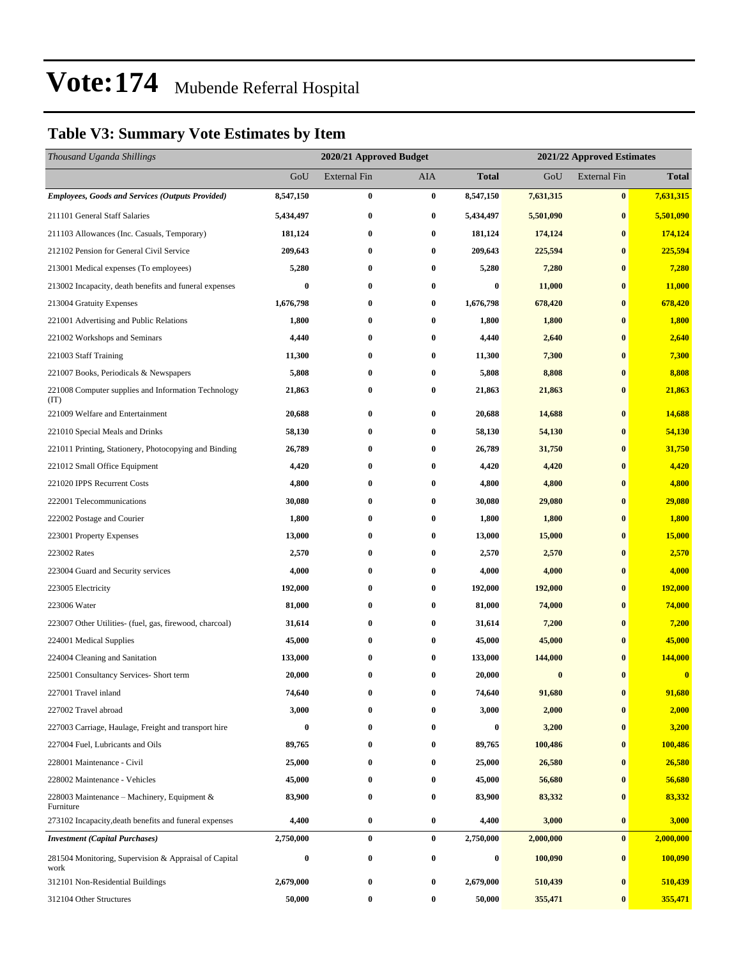### **Table V3: Summary Vote Estimates by Item**

| Thousand Uganda Shillings                                     |                  | 2020/21 Approved Budget |           |                  | 2021/22 Approved Estimates |                     |              |
|---------------------------------------------------------------|------------------|-------------------------|-----------|------------------|----------------------------|---------------------|--------------|
|                                                               | GoU              | External Fin            | AIA       | <b>Total</b>     | GoU                        | <b>External Fin</b> | <b>Total</b> |
| <b>Employees, Goods and Services (Outputs Provided)</b>       | 8,547,150        | $\bf{0}$                | $\bf{0}$  | 8,547,150        | 7,631,315                  | $\bf{0}$            | 7,631,315    |
| 211101 General Staff Salaries                                 | 5,434,497        | $\bf{0}$                | $\bf{0}$  | 5,434,497        | 5,501,090                  | $\bf{0}$            | 5,501,090    |
| 211103 Allowances (Inc. Casuals, Temporary)                   | 181,124          | $\bf{0}$                | $\bf{0}$  | 181,124          | 174,124                    | $\bf{0}$            | 174,124      |
| 212102 Pension for General Civil Service                      | 209,643          | $\bf{0}$                | $\bf{0}$  | 209,643          | 225,594                    | $\bf{0}$            | 225,594      |
| 213001 Medical expenses (To employees)                        | 5,280            | $\bf{0}$                | $\bf{0}$  | 5,280            | 7,280                      | $\bf{0}$            | 7,280        |
| 213002 Incapacity, death benefits and funeral expenses        | $\bf{0}$         | $\bf{0}$                | $\bf{0}$  | $\bf{0}$         | 11,000                     | $\bf{0}$            | 11,000       |
| 213004 Gratuity Expenses                                      | 1,676,798        | 0                       | $\bf{0}$  | 1,676,798        | 678,420                    | $\bf{0}$            | 678,420      |
| 221001 Advertising and Public Relations                       | 1,800            | $\bf{0}$                | $\bf{0}$  | 1,800            | 1,800                      | $\bf{0}$            | 1,800        |
| 221002 Workshops and Seminars                                 | 4,440            | $\bf{0}$                | $\bf{0}$  | 4,440            | 2,640                      | $\bf{0}$            | 2,640        |
| 221003 Staff Training                                         | 11,300           | $\bf{0}$                | $\bf{0}$  | 11,300           | 7,300                      | $\bf{0}$            | 7,300        |
| 221007 Books, Periodicals & Newspapers                        | 5,808            | $\bf{0}$                | $\bf{0}$  | 5,808            | 8,808                      | $\bf{0}$            | 8,808        |
| 221008 Computer supplies and Information Technology<br>(TT)   | 21,863           | $\bf{0}$                | $\bf{0}$  | 21,863           | 21,863                     | $\bf{0}$            | 21,863       |
| 221009 Welfare and Entertainment                              | 20,688           | $\bf{0}$                | $\bf{0}$  | 20,688           | 14,688                     | $\bf{0}$            | 14,688       |
| 221010 Special Meals and Drinks                               | 58,130           | $\bf{0}$                | $\bf{0}$  | 58,130           | 54,130                     | $\bf{0}$            | 54,130       |
| 221011 Printing, Stationery, Photocopying and Binding         | 26,789           | 0                       | 0         | 26,789           | 31,750                     | $\bf{0}$            | 31,750       |
| 221012 Small Office Equipment                                 | 4,420            | $\bf{0}$                | $\bf{0}$  | 4,420            | 4,420                      | $\bf{0}$            | 4,420        |
| 221020 IPPS Recurrent Costs                                   | 4,800            | $\bf{0}$                | $\bf{0}$  | 4,800            | 4,800                      | $\bf{0}$            | 4,800        |
| 222001 Telecommunications                                     | 30,080           | $\bf{0}$                | $\bf{0}$  | 30,080           | 29,080                     | $\bf{0}$            | 29,080       |
| 222002 Postage and Courier                                    | 1,800            | $\bf{0}$                | $\bf{0}$  | 1,800            | 1,800                      | $\bf{0}$            | 1,800        |
| 223001 Property Expenses                                      | 13,000           | $\bf{0}$                | $\bf{0}$  | 13,000           | 15,000                     | $\bf{0}$            | 15,000       |
| 223002 Rates                                                  | 2,570            | $\bf{0}$                | $\bf{0}$  | 2,570            | 2,570                      | $\bf{0}$            | 2,570        |
| 223004 Guard and Security services                            | 4,000            | $\bf{0}$                | $\bf{0}$  | 4,000            | 4,000                      | $\bf{0}$            | 4,000        |
| 223005 Electricity                                            | 192,000          | $\bf{0}$                | $\bf{0}$  | 192,000          | 192,000                    | $\bf{0}$            | 192,000      |
| 223006 Water                                                  | 81,000           | $\bf{0}$                | $\bf{0}$  | 81,000           | 74,000                     | $\bf{0}$            | 74,000       |
| 223007 Other Utilities- (fuel, gas, firewood, charcoal)       | 31,614           | $\bf{0}$                | $\bf{0}$  | 31,614           | 7,200                      | $\bf{0}$            | 7,200        |
| 224001 Medical Supplies                                       | 45,000           | 0                       | $\bf{0}$  | 45,000           | 45,000                     | $\bf{0}$            | 45,000       |
| 224004 Cleaning and Sanitation                                | 133,000          | 0                       | $\bf{0}$  | 133,000          | 144,000                    | $\bf{0}$            | 144,000      |
| 225001 Consultancy Services- Short term                       | 20,000           | $\bf{0}$                | $\bf{0}$  | 20,000           | $\bf{0}$                   | $\bf{0}$            | $\bf{0}$     |
| 227001 Travel inland                                          | 74,640           | 0                       | $\pmb{0}$ | 74,640           | 91,680                     | $\pmb{0}$           | 91,680       |
| 227002 Travel abroad                                          | 3,000            | 0                       | $\bf{0}$  | 3,000            | 2,000                      | $\bf{0}$            | 2,000        |
| 227003 Carriage, Haulage, Freight and transport hire          | $\boldsymbol{0}$ | $\bf{0}$                | $\bf{0}$  | $\boldsymbol{0}$ | 3,200                      | $\bf{0}$            | 3,200        |
| 227004 Fuel, Lubricants and Oils                              | 89,765           | $\bf{0}$                | $\bf{0}$  | 89,765           | 100,486                    | $\bf{0}$            | 100,486      |
| 228001 Maintenance - Civil                                    | 25,000           | 0                       | $\bf{0}$  | 25,000           | 26,580                     | $\bf{0}$            | 26,580       |
| 228002 Maintenance - Vehicles                                 | 45,000           | 0                       | $\bf{0}$  | 45,000           | 56,680                     | $\bf{0}$            | 56,680       |
| 228003 Maintenance - Machinery, Equipment &<br>Furniture      | 83,900           | $\bf{0}$                | $\bf{0}$  | 83,900           | 83,332                     | $\bf{0}$            | 83,332       |
| 273102 Incapacity, death benefits and funeral expenses        | 4,400            | $\bf{0}$                | $\bf{0}$  | 4,400            | 3,000                      | $\bf{0}$            | 3,000        |
| <b>Investment</b> (Capital Purchases)                         | 2,750,000        | $\bf{0}$                | $\bf{0}$  | 2,750,000        | 2,000,000                  | $\bf{0}$            | 2,000,000    |
| 281504 Monitoring, Supervision & Appraisal of Capital<br>work | $\bf{0}$         | $\bf{0}$                | $\bf{0}$  | 0                | 100,090                    | $\bf{0}$            | 100,090      |
| 312101 Non-Residential Buildings                              | 2,679,000        | $\bf{0}$                | $\bf{0}$  | 2,679,000        | 510,439                    | $\bf{0}$            | 510,439      |
| 312104 Other Structures                                       | 50,000           | $\bf{0}$                | $\bf{0}$  | 50,000           | 355,471                    | $\bf{0}$            | 355,471      |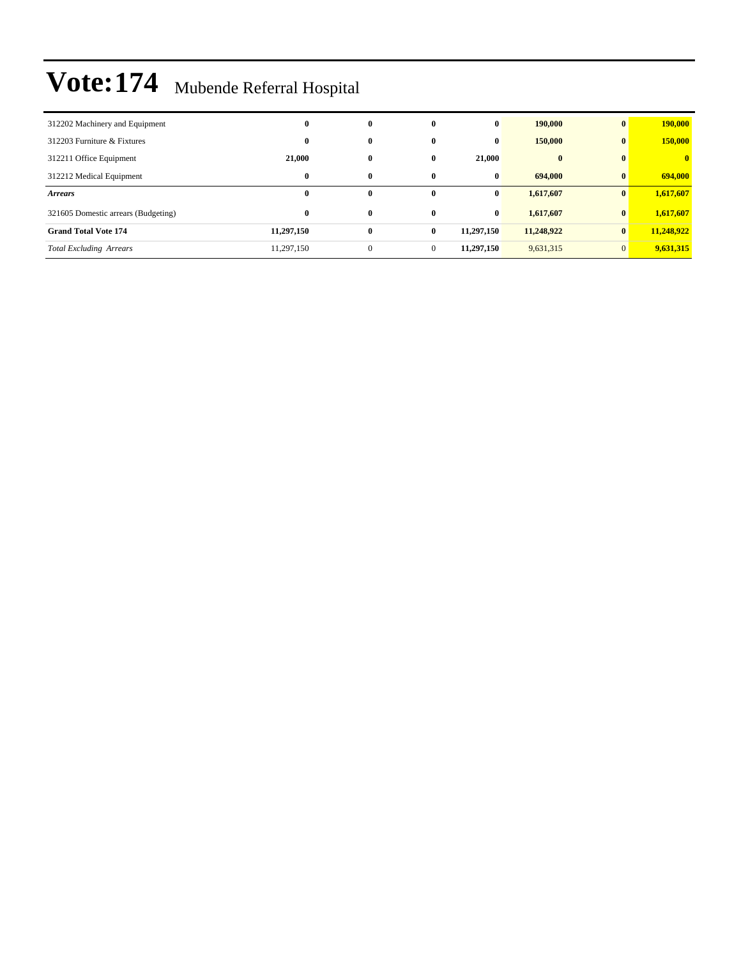| 312202 Machinery and Equipment      | $\bf{0}$   | $\bf{0}$     | $\bf{0}$     | $\bf{0}$   | 190,000    | $\bf{0}$       | 190,000      |
|-------------------------------------|------------|--------------|--------------|------------|------------|----------------|--------------|
| 312203 Furniture & Fixtures         | $\bf{0}$   | $\bf{0}$     | $\bf{0}$     | $\bf{0}$   | 150,000    | $\bf{0}$       | 150,000      |
| 312211 Office Equipment             | 21,000     | $\bf{0}$     | $\mathbf{0}$ | 21.000     | $\bf{0}$   | $\mathbf{0}$   | $\mathbf{0}$ |
| 312212 Medical Equipment            | $\bf{0}$   | $\bf{0}$     | $\mathbf{0}$ | $\bf{0}$   | 694,000    | $\mathbf{0}$   | 694,000      |
| <b>Arrears</b>                      | $\bf{0}$   | $\mathbf{0}$ | $\mathbf{0}$ | $\bf{0}$   | 1,617,607  | $\mathbf{0}$   | 1,617,607    |
| 321605 Domestic arrears (Budgeting) | $\bf{0}$   | $\bf{0}$     | $\mathbf{0}$ | $\bf{0}$   | 1,617,607  | $\bf{0}$       | 1,617,607    |
| <b>Grand Total Vote 174</b>         | 11,297,150 | $\bf{0}$     | $\bf{0}$     | 11,297,150 | 11,248,922 | $\mathbf{0}$   | 11,248,922   |
| <b>Total Excluding Arrears</b>      | 11,297,150 | $\mathbf{0}$ | $\mathbf{0}$ | 11,297,150 | 9,631,315  | $\overline{0}$ | 9,631,315    |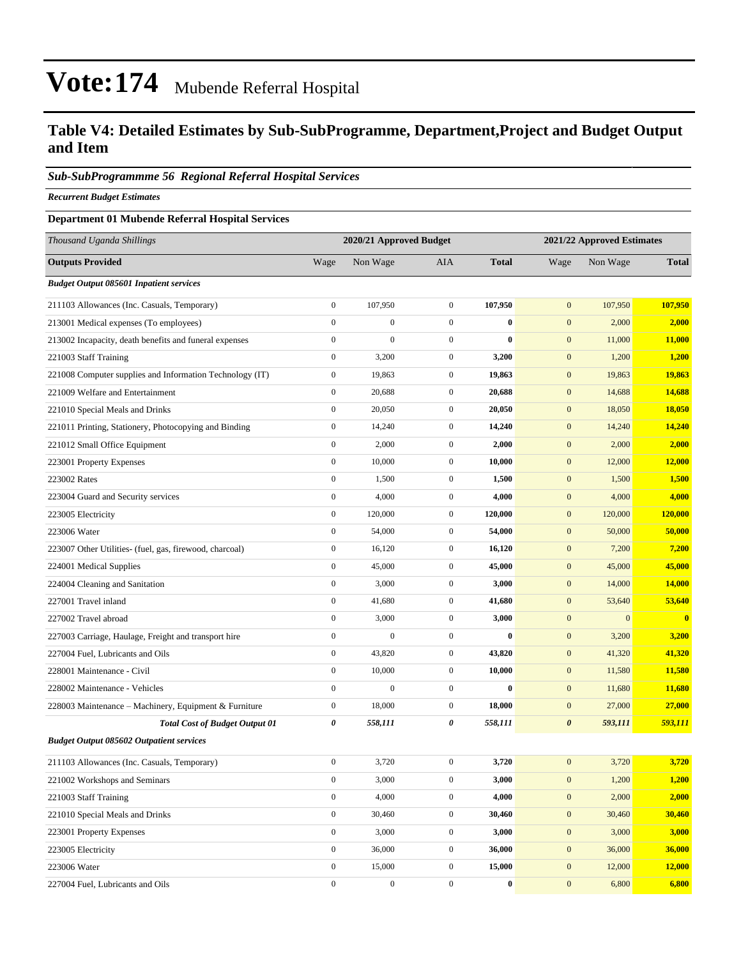### **Table V4: Detailed Estimates by Sub-SubProgramme, Department,Project and Budget Output and Item**

#### *Sub-SubProgrammme 56 Regional Referral Hospital Services*

*Recurrent Budget Estimates*

#### **Department 01 Mubende Referral Hospital Services**

| Thousand Uganda Shillings                                |                  | 2020/21 Approved Budget |                  |              | 2021/22 Approved Estimates |                  |              |
|----------------------------------------------------------|------------------|-------------------------|------------------|--------------|----------------------------|------------------|--------------|
| <b>Outputs Provided</b>                                  | Wage             | Non Wage                | AIA              | <b>Total</b> | Wage                       | Non Wage         | <b>Total</b> |
| <b>Budget Output 085601 Inpatient services</b>           |                  |                         |                  |              |                            |                  |              |
| 211103 Allowances (Inc. Casuals, Temporary)              | $\boldsymbol{0}$ | 107,950                 | $\boldsymbol{0}$ | 107.950      | $\mathbf{0}$               | 107.950          | 107,950      |
| 213001 Medical expenses (To employees)                   | $\boldsymbol{0}$ | $\boldsymbol{0}$        | $\mathbf{0}$     | $\bf{0}$     | $\boldsymbol{0}$           | 2,000            | 2,000        |
| 213002 Incapacity, death benefits and funeral expenses   | $\boldsymbol{0}$ | $\mathbf{0}$            | $\mathbf{0}$     | $\mathbf{0}$ | $\boldsymbol{0}$           | 11,000           | 11,000       |
| 221003 Staff Training                                    | $\boldsymbol{0}$ | 3,200                   | $\mathbf{0}$     | 3,200        | $\mathbf{0}$               | 1,200            | 1,200        |
| 221008 Computer supplies and Information Technology (IT) | $\boldsymbol{0}$ | 19,863                  | $\boldsymbol{0}$ | 19,863       | $\boldsymbol{0}$           | 19,863           | 19,863       |
| 221009 Welfare and Entertainment                         | $\boldsymbol{0}$ | 20,688                  | $\boldsymbol{0}$ | 20,688       | $\boldsymbol{0}$           | 14,688           | 14,688       |
| 221010 Special Meals and Drinks                          | $\boldsymbol{0}$ | 20,050                  | $\mathbf{0}$     | 20,050       | $\boldsymbol{0}$           | 18,050           | 18,050       |
| 221011 Printing, Stationery, Photocopying and Binding    | $\boldsymbol{0}$ | 14,240                  | $\mathbf{0}$     | 14,240       | $\boldsymbol{0}$           | 14,240           | 14,240       |
| 221012 Small Office Equipment                            | $\boldsymbol{0}$ | 2,000                   | $\mathbf{0}$     | 2,000        | $\boldsymbol{0}$           | 2,000            | 2,000        |
| 223001 Property Expenses                                 | $\boldsymbol{0}$ | 10,000                  | $\boldsymbol{0}$ | 10,000       | $\boldsymbol{0}$           | 12,000           | 12,000       |
| 223002 Rates                                             | $\boldsymbol{0}$ | 1,500                   | $\boldsymbol{0}$ | 1,500        | $\boldsymbol{0}$           | 1,500            | 1,500        |
| 223004 Guard and Security services                       | $\boldsymbol{0}$ | 4,000                   | $\mathbf{0}$     | 4,000        | $\boldsymbol{0}$           | 4,000            | 4,000        |
| 223005 Electricity                                       | $\boldsymbol{0}$ | 120,000                 | $\mathbf{0}$     | 120,000      | $\boldsymbol{0}$           | 120,000          | 120,000      |
| 223006 Water                                             | $\boldsymbol{0}$ | 54,000                  | $\mathbf{0}$     | 54,000       | $\mathbf{0}$               | 50,000           | 50,000       |
| 223007 Other Utilities- (fuel, gas, firewood, charcoal)  | $\boldsymbol{0}$ | 16,120                  | $\boldsymbol{0}$ | 16,120       | $\boldsymbol{0}$           | 7,200            | 7,200        |
| 224001 Medical Supplies                                  | $\boldsymbol{0}$ | 45,000                  | $\boldsymbol{0}$ | 45,000       | $\boldsymbol{0}$           | 45,000           | 45,000       |
| 224004 Cleaning and Sanitation                           | $\boldsymbol{0}$ | 3,000                   | $\mathbf{0}$     | 3,000        | $\boldsymbol{0}$           | 14,000           | 14,000       |
| 227001 Travel inland                                     | $\boldsymbol{0}$ | 41,680                  | $\mathbf{0}$     | 41,680       | $\boldsymbol{0}$           | 53,640           | 53,640       |
| 227002 Travel abroad                                     | $\boldsymbol{0}$ | 3,000                   | $\mathbf{0}$     | 3,000        | $\boldsymbol{0}$           | $\boldsymbol{0}$ | $\bf{0}$     |
| 227003 Carriage, Haulage, Freight and transport hire     | $\boldsymbol{0}$ | $\boldsymbol{0}$        | $\mathbf{0}$     | $\bf{0}$     | $\boldsymbol{0}$           | 3,200            | 3,200        |
| 227004 Fuel, Lubricants and Oils                         | $\boldsymbol{0}$ | 43,820                  | $\boldsymbol{0}$ | 43,820       | $\boldsymbol{0}$           | 41,320           | 41,320       |
| 228001 Maintenance - Civil                               | $\boldsymbol{0}$ | 10,000                  | $\mathbf{0}$     | 10,000       | $\boldsymbol{0}$           | 11,580           | 11,580       |
| 228002 Maintenance - Vehicles                            | $\boldsymbol{0}$ | $\mathbf{0}$            | $\mathbf{0}$     | $\mathbf{0}$ | $\boldsymbol{0}$           | 11,680           | 11,680       |
| 228003 Maintenance - Machinery, Equipment & Furniture    | $\boldsymbol{0}$ | 18,000                  | $\mathbf{0}$     | 18,000       | $\boldsymbol{0}$           | 27,000           | 27,000       |
| <b>Total Cost of Budget Output 01</b>                    | 0                | 558,111                 | 0                | 558,111      | $\boldsymbol{\theta}$      | 593,111          | 593,111      |
| <b>Budget Output 085602 Outpatient services</b>          |                  |                         |                  |              |                            |                  |              |
| 211103 Allowances (Inc. Casuals, Temporary)              | $\boldsymbol{0}$ | 3,720                   | $\boldsymbol{0}$ | 3,720        | $\mathbf{0}$               | 3,720            | 3,720        |
| 221002 Workshops and Seminars                            | $\boldsymbol{0}$ | 3,000                   | $\boldsymbol{0}$ | 3,000        | $\boldsymbol{0}$           | 1,200            | 1,200        |
| 221003 Staff Training                                    | $\boldsymbol{0}$ | 4,000                   | $\mathbf{0}$     | 4,000        | $\boldsymbol{0}$           | 2,000            | 2,000        |
| 221010 Special Meals and Drinks                          | $\boldsymbol{0}$ | 30,460                  | $\mathbf{0}$     | 30,460       | $\boldsymbol{0}$           | 30,460           | 30,460       |
| 223001 Property Expenses                                 | $\boldsymbol{0}$ | 3,000                   | $\boldsymbol{0}$ | 3,000        | $\mathbf{0}$               | 3,000            | 3,000        |
| 223005 Electricity                                       | $\boldsymbol{0}$ | 36,000                  | $\mathbf{0}$     | 36,000       | $\mathbf{0}$               | 36,000           | 36,000       |
| 223006 Water                                             | $\mathbf{0}$     | 15,000                  | $\boldsymbol{0}$ | 15,000       | $\boldsymbol{0}$           | 12,000           | 12,000       |
| 227004 Fuel, Lubricants and Oils                         | $\boldsymbol{0}$ | $\boldsymbol{0}$        | $\boldsymbol{0}$ | $\bf{0}$     | $\boldsymbol{0}$           | 6,800            | 6,800        |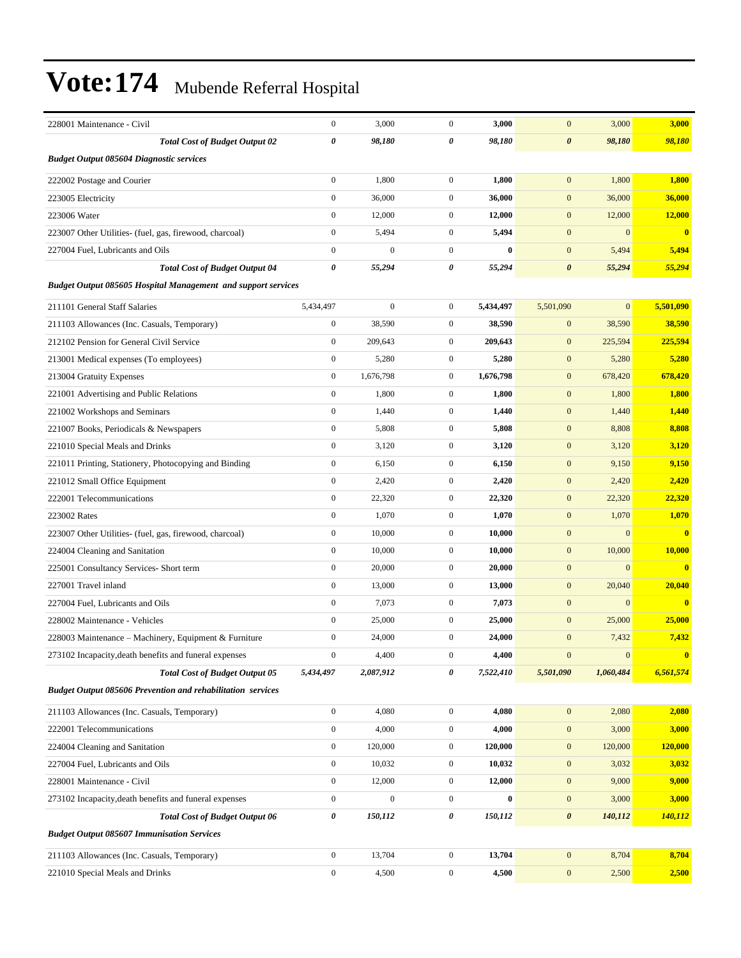| 228001 Maintenance - Civil                                           | $\boldsymbol{0}$      | 3,000            | $\mathbf{0}$     | 3,000     | $\mathbf{0}$          | 3,000        | 3,000     |
|----------------------------------------------------------------------|-----------------------|------------------|------------------|-----------|-----------------------|--------------|-----------|
| <b>Total Cost of Budget Output 02</b>                                | 0                     | 98,180           | 0                | 98,180    | $\boldsymbol{\theta}$ | 98,180       | 98,180    |
| <b>Budget Output 085604 Diagnostic services</b>                      |                       |                  |                  |           |                       |              |           |
| 222002 Postage and Courier                                           | $\boldsymbol{0}$      | 1,800            | $\overline{0}$   | 1,800     | $\mathbf{0}$          | 1,800        | 1,800     |
| 223005 Electricity                                                   | $\boldsymbol{0}$      | 36,000           | $\overline{0}$   | 36,000    | $\mathbf{0}$          | 36,000       | 36,000    |
| 223006 Water                                                         | $\boldsymbol{0}$      | 12,000           | $\overline{0}$   | 12,000    | $\mathbf{0}$          | 12,000       | 12,000    |
| 223007 Other Utilities- (fuel, gas, firewood, charcoal)              | $\mathbf{0}$          | 5,494            | $\mathbf{0}$     | 5,494     | $\mathbf{0}$          | $\mathbf{0}$ | $\bf{0}$  |
| 227004 Fuel, Lubricants and Oils                                     | $\mathbf{0}$          | $\mathbf{0}$     | $\mathbf{0}$     | $\bf{0}$  | $\mathbf{0}$          | 5,494        | 5,494     |
| <b>Total Cost of Budget Output 04</b>                                | $\boldsymbol{\theta}$ | 55,294           | 0                | 55,294    | $\boldsymbol{\theta}$ | 55,294       | 55,294    |
| <b>Budget Output 085605 Hospital Management and support services</b> |                       |                  |                  |           |                       |              |           |
| 211101 General Staff Salaries                                        | 5,434,497             | $\boldsymbol{0}$ | $\mathbf{0}$     | 5,434,497 | 5,501,090             | $\mathbf{0}$ | 5,501,090 |
| 211103 Allowances (Inc. Casuals, Temporary)                          | $\boldsymbol{0}$      | 38,590           | $\mathbf{0}$     | 38,590    | $\mathbf{0}$          | 38,590       | 38,590    |
| 212102 Pension for General Civil Service                             | $\boldsymbol{0}$      | 209,643          | $\mathbf{0}$     | 209,643   | $\mathbf{0}$          | 225,594      | 225,594   |
| 213001 Medical expenses (To employees)                               | $\boldsymbol{0}$      | 5,280            | $\mathbf{0}$     | 5,280     | $\mathbf{0}$          | 5,280        | 5,280     |
| 213004 Gratuity Expenses                                             | $\boldsymbol{0}$      | 1,676,798        | $\mathbf{0}$     | 1,676,798 | $\mathbf{0}$          | 678,420      | 678,420   |
| 221001 Advertising and Public Relations                              | $\boldsymbol{0}$      | 1,800            | $\mathbf{0}$     | 1,800     | $\mathbf{0}$          | 1,800        | 1,800     |
| 221002 Workshops and Seminars                                        | $\boldsymbol{0}$      | 1,440            | $\mathbf{0}$     | 1,440     | $\mathbf{0}$          | 1,440        | 1,440     |
| 221007 Books, Periodicals & Newspapers                               | $\boldsymbol{0}$      | 5,808            | $\mathbf{0}$     | 5,808     | $\mathbf{0}$          | 8,808        | 8,808     |
| 221010 Special Meals and Drinks                                      | $\boldsymbol{0}$      | 3,120            | $\mathbf{0}$     | 3,120     | $\mathbf{0}$          | 3,120        | 3,120     |
| 221011 Printing, Stationery, Photocopying and Binding                | $\boldsymbol{0}$      | 6,150            | $\overline{0}$   | 6,150     | $\mathbf{0}$          | 9,150        | 9,150     |
| 221012 Small Office Equipment                                        | $\boldsymbol{0}$      | 2,420            | $\mathbf{0}$     | 2,420     | $\mathbf{0}$          | 2,420        | 2,420     |
| 222001 Telecommunications                                            | $\boldsymbol{0}$      | 22,320           | $\mathbf{0}$     | 22,320    | $\mathbf{0}$          | 22,320       | 22,320    |
| 223002 Rates                                                         | $\boldsymbol{0}$      | 1,070            | $\overline{0}$   | 1,070     | $\mathbf{0}$          | 1,070        | 1,070     |
| 223007 Other Utilities- (fuel, gas, firewood, charcoal)              | $\boldsymbol{0}$      | 10,000           | $\mathbf{0}$     | 10,000    | $\mathbf{0}$          | $\mathbf{0}$ | $\bf{0}$  |
| 224004 Cleaning and Sanitation                                       | $\boldsymbol{0}$      | 10,000           | $\overline{0}$   | 10,000    | $\mathbf{0}$          | 10,000       | 10,000    |
| 225001 Consultancy Services- Short term                              | $\boldsymbol{0}$      | 20,000           | $\mathbf{0}$     | 20,000    | $\mathbf{0}$          | $\mathbf{0}$ | $\bf{0}$  |
| 227001 Travel inland                                                 | $\boldsymbol{0}$      | 13,000           | $\mathbf{0}$     | 13,000    | $\mathbf{0}$          | 20,040       | 20,040    |
| 227004 Fuel, Lubricants and Oils                                     | $\boldsymbol{0}$      | 7,073            | $\overline{0}$   | 7,073     | $\mathbf{0}$          | $\mathbf{0}$ | $\bf{0}$  |
| 228002 Maintenance - Vehicles                                        | $\boldsymbol{0}$      | 25,000           | $\mathbf{0}$     | 25,000    | $\mathbf{0}$          | 25,000       | 25,000    |
| 228003 Maintenance – Machinery, Equipment & Furniture                | $\boldsymbol{0}$      | 24,000           | $\overline{0}$   | 24,000    | $\mathbf{0}$          | 7,432        | 7,432     |
| 273102 Incapacity, death benefits and funeral expenses               | $\mathbf{0}$          | 4,400            | 0                | 4,400     | $\boldsymbol{0}$      | $\mathbf{0}$ | $\bf{0}$  |
| <b>Total Cost of Budget Output 05</b>                                | 5,434,497             | 2,087,912        | 0                | 7,522,410 | 5,501,090             | 1,060,484    | 6,561,574 |
| Budget Output 085606 Prevention and rehabilitation services          |                       |                  |                  |           |                       |              |           |
| 211103 Allowances (Inc. Casuals, Temporary)                          | $\boldsymbol{0}$      | 4,080            | $\boldsymbol{0}$ | 4,080     | $\mathbf{0}$          | 2,080        | 2,080     |
| 222001 Telecommunications                                            | $\boldsymbol{0}$      | 4,000            | $\boldsymbol{0}$ | 4,000     | $\mathbf{0}$          | 3,000        | 3,000     |
| 224004 Cleaning and Sanitation                                       | $\boldsymbol{0}$      | 120,000          | $\boldsymbol{0}$ | 120,000   | $\boldsymbol{0}$      | 120,000      | 120,000   |
| 227004 Fuel, Lubricants and Oils                                     | $\boldsymbol{0}$      | 10,032           | $\boldsymbol{0}$ | 10,032    | $\mathbf{0}$          | 3,032        | 3,032     |
| 228001 Maintenance - Civil                                           | $\boldsymbol{0}$      | 12,000           | $\boldsymbol{0}$ | 12,000    | $\mathbf{0}$          | 9,000        | 9,000     |
| 273102 Incapacity, death benefits and funeral expenses               | $\boldsymbol{0}$      | $\boldsymbol{0}$ | $\boldsymbol{0}$ | $\bf{0}$  | $\mathbf{0}$          | 3,000        | 3,000     |
| <b>Total Cost of Budget Output 06</b>                                | 0                     | 150,112          | 0                | 150,112   | $\boldsymbol{\theta}$ | 140,112      | 140,112   |
| <b>Budget Output 085607 Immunisation Services</b>                    |                       |                  |                  |           |                       |              |           |
| 211103 Allowances (Inc. Casuals, Temporary)                          | $\boldsymbol{0}$      | 13,704           | $\boldsymbol{0}$ | 13,704    | $\boldsymbol{0}$      | 8,704        | 8,704     |
| 221010 Special Meals and Drinks                                      | $\boldsymbol{0}$      | 4,500            | $\boldsymbol{0}$ | 4,500     | $\boldsymbol{0}$      | 2,500        | 2,500     |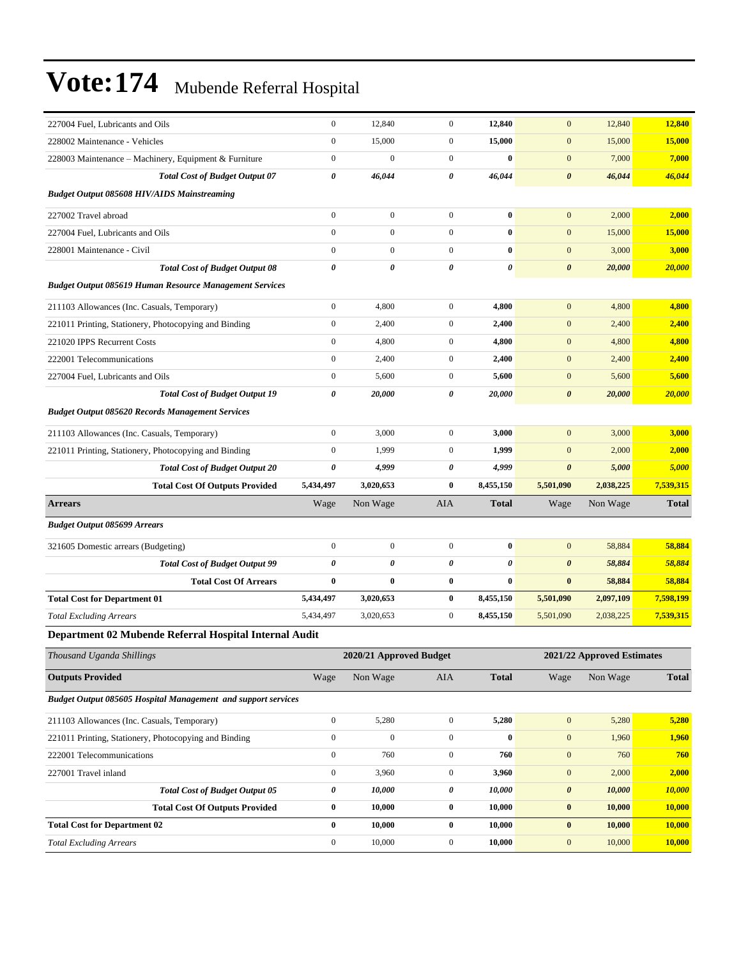| 227004 Fuel, Lubricants and Oils                               | $\boldsymbol{0}$      | 12,840                  | $\boldsymbol{0}$ | 12,840       | $\boldsymbol{0}$      | 12,840                     | 12,840        |
|----------------------------------------------------------------|-----------------------|-------------------------|------------------|--------------|-----------------------|----------------------------|---------------|
| 228002 Maintenance - Vehicles                                  | $\mathbf{0}$          | 15,000                  | $\overline{0}$   | 15,000       | $\mathbf{0}$          | 15,000                     | 15,000        |
| 228003 Maintenance - Machinery, Equipment & Furniture          | $\boldsymbol{0}$      | $\boldsymbol{0}$        | $\mathbf{0}$     | $\bf{0}$     | $\mathbf{0}$          | 7,000                      | 7,000         |
| <b>Total Cost of Budget Output 07</b>                          | $\boldsymbol{\theta}$ | 46,044                  | $\theta$         | 46,044       | $\boldsymbol{\theta}$ | 46,044                     | 46,044        |
| <b>Budget Output 085608 HIV/AIDS Mainstreaming</b>             |                       |                         |                  |              |                       |                            |               |
| 227002 Travel abroad                                           | $\boldsymbol{0}$      | $\boldsymbol{0}$        | $\overline{0}$   | $\bf{0}$     | $\mathbf{0}$          | 2,000                      | 2,000         |
| 227004 Fuel, Lubricants and Oils                               | $\boldsymbol{0}$      | $\boldsymbol{0}$        | $\overline{0}$   | $\bf{0}$     | $\boldsymbol{0}$      | 15,000                     | 15,000        |
| 228001 Maintenance - Civil                                     | $\mathbf{0}$          | $\boldsymbol{0}$        | $\overline{0}$   | $\bf{0}$     | $\mathbf{0}$          | 3,000                      | 3,000         |
| <b>Total Cost of Budget Output 08</b>                          | $\boldsymbol{\theta}$ | 0                       | $\theta$         | 0            | $\boldsymbol{\theta}$ | 20,000                     | 20,000        |
| <b>Budget Output 085619 Human Resource Management Services</b> |                       |                         |                  |              |                       |                            |               |
| 211103 Allowances (Inc. Casuals, Temporary)                    | $\boldsymbol{0}$      | 4,800                   | $\overline{0}$   | 4,800        | $\mathbf{0}$          | 4,800                      | 4,800         |
| 221011 Printing, Stationery, Photocopying and Binding          | $\boldsymbol{0}$      | 2,400                   | $\mathbf{0}$     | 2,400        | $\mathbf{0}$          | 2,400                      | 2,400         |
| 221020 IPPS Recurrent Costs                                    | $\boldsymbol{0}$      | 4,800                   | $\mathbf{0}$     | 4,800        | $\mathbf{0}$          | 4,800                      | 4,800         |
| 222001 Telecommunications                                      | $\boldsymbol{0}$      | 2,400                   | $\boldsymbol{0}$ | 2,400        | $\mathbf{0}$          | 2,400                      | 2,400         |
| 227004 Fuel, Lubricants and Oils                               | $\boldsymbol{0}$      | 5,600                   | $\mathbf{0}$     | 5,600        | $\mathbf{0}$          | 5,600                      | 5,600         |
| <b>Total Cost of Budget Output 19</b>                          | $\boldsymbol{\theta}$ | 20,000                  | 0                | 20,000       | $\boldsymbol{\theta}$ | 20,000                     | 20,000        |
| <b>Budget Output 085620 Records Management Services</b>        |                       |                         |                  |              |                       |                            |               |
| 211103 Allowances (Inc. Casuals, Temporary)                    | $\boldsymbol{0}$      | 3,000                   | $\overline{0}$   | 3,000        | $\mathbf{0}$          | 3,000                      | 3,000         |
| 221011 Printing, Stationery, Photocopying and Binding          | $\boldsymbol{0}$      | 1,999                   | $\overline{0}$   | 1,999        | $\boldsymbol{0}$      | 2,000                      | 2,000         |
| <b>Total Cost of Budget Output 20</b>                          | 0                     | 4,999                   | 0                | 4,999        | $\boldsymbol{\theta}$ | 5,000                      | 5,000         |
| <b>Total Cost Of Outputs Provided</b>                          | 5,434,497             | 3,020,653               | $\bf{0}$         | 8,455,150    | 5,501,090             | 2,038,225                  | 7,539,315     |
| <b>Arrears</b>                                                 | Wage                  | Non Wage                | AIA              | <b>Total</b> | Wage                  | Non Wage                   | <b>Total</b>  |
| <b>Budget Output 085699 Arrears</b>                            |                       |                         |                  |              |                       |                            |               |
| 321605 Domestic arrears (Budgeting)                            | $\boldsymbol{0}$      | $\boldsymbol{0}$        | $\boldsymbol{0}$ | $\bf{0}$     | $\mathbf{0}$          | 58,884                     | 58,884        |
| <b>Total Cost of Budget Output 99</b>                          | $\boldsymbol{\theta}$ | 0                       | 0                | 0            | $\boldsymbol{\theta}$ | 58,884                     | 58,884        |
| <b>Total Cost Of Arrears</b>                                   | $\bf{0}$              | $\bf{0}$                | $\bf{0}$         | $\bf{0}$     | $\bf{0}$              | 58,884                     | 58,884        |
| <b>Total Cost for Department 01</b>                            | 5,434,497             | 3,020,653               | $\bf{0}$         | 8,455,150    | 5,501,090             | 2,097,109                  | 7,598,199     |
| <b>Total Excluding Arrears</b>                                 | 5,434,497             | 3,020,653               | $\mathbf{0}$     | 8,455,150    | 5,501,090             | 2,038,225                  | 7,539,315     |
| Department 02 Mubende Referral Hospital Internal Audit         |                       |                         |                  |              |                       |                            |               |
| Thousand Uganda Shillings                                      |                       | 2020/21 Approved Budget |                  |              |                       | 2021/22 Approved Estimates |               |
| <b>Outputs Provided</b>                                        | Wage                  | Non Wage                | AIA              | <b>Total</b> | Wage                  | Non Wage                   | <b>Total</b>  |
| Budget Output 085605 Hospital Management and support services  |                       |                         |                  |              |                       |                            |               |
| 211103 Allowances (Inc. Casuals, Temporary)                    | $\boldsymbol{0}$      | 5,280                   | $\mathbf{0}$     | 5,280        | $\boldsymbol{0}$      | 5,280                      | 5,280         |
| 221011 Printing, Stationery, Photocopying and Binding          | $\boldsymbol{0}$      | $\boldsymbol{0}$        | $\boldsymbol{0}$ | $\bf{0}$     | $\mathbf{0}$          | 1,960                      | 1,960         |
| 222001 Telecommunications                                      | $\boldsymbol{0}$      | 760                     | $\boldsymbol{0}$ | 760          | $\mathbf{0}$          | 760                        | 760           |
| 227001 Travel inland                                           | $\boldsymbol{0}$      | 3,960                   | $\boldsymbol{0}$ | 3,960        | $\boldsymbol{0}$      | 2,000                      | 2,000         |
| <b>Total Cost of Budget Output 05</b>                          | 0                     | 10,000                  | 0                | 10,000       | $\boldsymbol{\theta}$ | 10,000                     | 10,000        |
| <b>Total Cost Of Outputs Provided</b>                          |                       |                         | $\bf{0}$         | 10,000       | $\boldsymbol{0}$      | 10,000                     | <b>10,000</b> |
|                                                                | $\bf{0}$              | 10,000                  |                  |              |                       |                            |               |
| <b>Total Cost for Department 02</b>                            | $\bf{0}$              | 10,000                  | $\bf{0}$         | 10,000       | $\bf{0}$              | 10,000                     | 10,000        |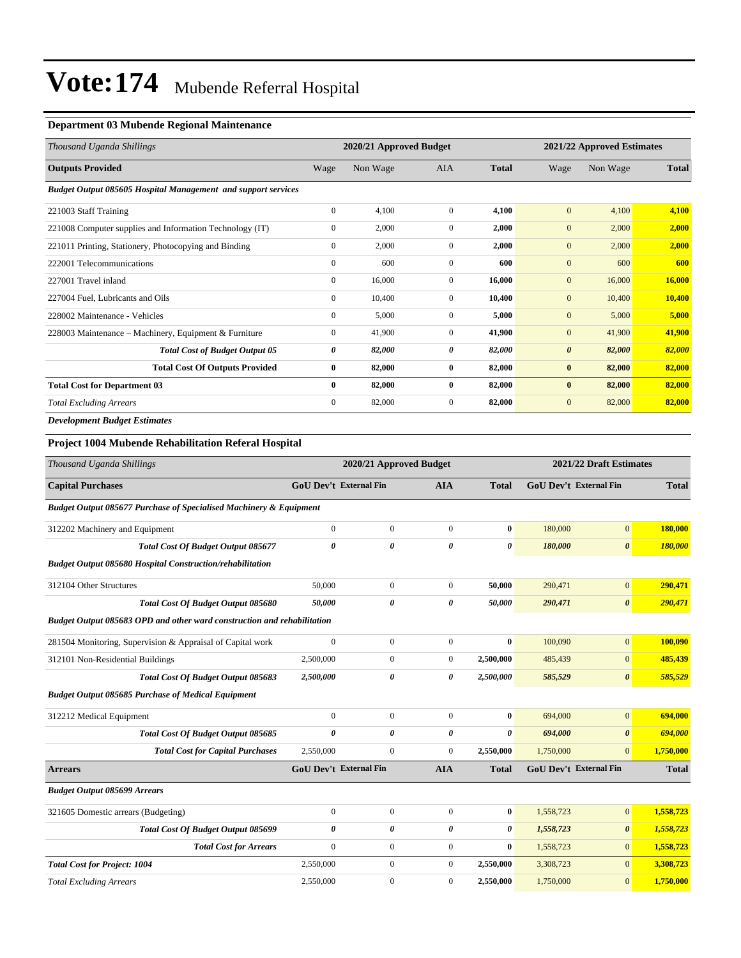#### **Department 03 Mubende Regional Maintenance**

| Thousand Uganda Shillings                                            |              | 2020/21 Approved Budget |                |              |                       | 2021/22 Approved Estimates |              |  |  |
|----------------------------------------------------------------------|--------------|-------------------------|----------------|--------------|-----------------------|----------------------------|--------------|--|--|
| <b>Outputs Provided</b>                                              | Wage         | Non Wage                | <b>AIA</b>     | <b>Total</b> | Wage                  | Non Wage                   | <b>Total</b> |  |  |
| <b>Budget Output 085605 Hospital Management and support services</b> |              |                         |                |              |                       |                            |              |  |  |
| 221003 Staff Training                                                | $\mathbf{0}$ | 4,100                   | $\overline{0}$ | 4,100        | $\mathbf{0}$          | 4,100                      | 4,100        |  |  |
| 221008 Computer supplies and Information Technology (IT)             | $\mathbf{0}$ | 2,000                   | $\overline{0}$ | 2,000        | $\mathbf{0}$          | 2,000                      | 2,000        |  |  |
| 221011 Printing, Stationery, Photocopying and Binding                | $\mathbf{0}$ | 2,000                   | $\overline{0}$ | 2,000        | $\mathbf{0}$          | 2,000                      | 2,000        |  |  |
| 222001 Telecommunications                                            | $\mathbf{0}$ | 600                     | $\mathbf{0}$   | 600          | $\mathbf{0}$          | 600                        | 600          |  |  |
| 227001 Travel inland                                                 | $\mathbf{0}$ | 16,000                  | $\overline{0}$ | 16,000       | $\mathbf{0}$          | 16,000                     | 16,000       |  |  |
| 227004 Fuel, Lubricants and Oils                                     | $\mathbf{0}$ | 10,400                  | $\overline{0}$ | 10,400       | $\mathbf{0}$          | 10,400                     | 10,400       |  |  |
| 228002 Maintenance - Vehicles                                        | $\mathbf{0}$ | 5,000                   | $\overline{0}$ | 5,000        | $\mathbf{0}$          | 5,000                      | 5,000        |  |  |
| 228003 Maintenance – Machinery, Equipment & Furniture                | $\mathbf{0}$ | 41,900                  | $\overline{0}$ | 41,900       | $\mathbf{0}$          | 41,900                     | 41,900       |  |  |
| <b>Total Cost of Budget Output 05</b>                                | 0            | 82,000                  | 0              | 82,000       | $\boldsymbol{\theta}$ | 82,000                     | 82,000       |  |  |
| <b>Total Cost Of Outputs Provided</b>                                | $\bf{0}$     | 82,000                  | $\bf{0}$       | 82,000       | $\bf{0}$              | 82,000                     | 82,000       |  |  |
| <b>Total Cost for Department 03</b>                                  | $\bf{0}$     | 82,000                  | $\bf{0}$       | 82,000       | $\bf{0}$              | 82,000                     | 82,000       |  |  |
| <b>Total Excluding Arrears</b>                                       | $\mathbf{0}$ | 82,000                  | $\overline{0}$ | 82,000       | $\mathbf{0}$          | 82,000                     | 82,000       |  |  |
| <b>Development Budget Estimates</b>                                  |              |                         |                |              |                       |                            |              |  |  |

### **Project 1004 Mubende Rehabilitation Referal Hospital**

| Thousand Uganda Shillings                                                     |                               | 2020/21 Approved Budget |                       |              | 2021/22 Draft Estimates       |                               |              |
|-------------------------------------------------------------------------------|-------------------------------|-------------------------|-----------------------|--------------|-------------------------------|-------------------------------|--------------|
| <b>Capital Purchases</b>                                                      | <b>GoU Dev't External Fin</b> |                         | <b>AIA</b>            | <b>Total</b> | <b>GoU Dev't External Fin</b> |                               | <b>Total</b> |
| <b>Budget Output 085677 Purchase of Specialised Machinery &amp; Equipment</b> |                               |                         |                       |              |                               |                               |              |
| 312202 Machinery and Equipment                                                | $\overline{0}$                | $\overline{0}$          | $\mathbf{0}$          | $\mathbf{0}$ | 180,000                       | $\overline{0}$                | 180,000      |
| <b>Total Cost Of Budget Output 085677</b>                                     | $\theta$                      | $\theta$                | $\boldsymbol{\theta}$ | 0            | 180,000                       | $\boldsymbol{\theta}$         | 180,000      |
| <b>Budget Output 085680 Hospital Construction/rehabilitation</b>              |                               |                         |                       |              |                               |                               |              |
| 312104 Other Structures                                                       | 50,000                        | $\overline{0}$          | $\mathbf{0}$          | 50,000       | 290,471                       | $\overline{0}$                | 290,471      |
| Total Cost Of Budget Output 085680                                            | 50,000                        | $\boldsymbol{\theta}$   | 0                     | 50,000       | 290,471                       | $\boldsymbol{\theta}$         | 290,471      |
| Budget Output 085683 OPD and other ward construction and rehabilitation       |                               |                         |                       |              |                               |                               |              |
| 281504 Monitoring, Supervision & Appraisal of Capital work                    | $\mathbf{0}$                  | $\overline{0}$          | $\mathbf{0}$          | $\bf{0}$     | 100,090                       | $\overline{0}$                | 100,090      |
| 312101 Non-Residential Buildings                                              | 2,500,000                     | $\mathbf{0}$            | $\mathbf{0}$          | 2,500,000    | 485,439                       | $\overline{0}$                | 485,439      |
| Total Cost Of Budget Output 085683                                            | 2,500,000                     | 0                       | $\boldsymbol{\theta}$ | 2,500,000    | 585,529                       | $\boldsymbol{\theta}$         | 585,529      |
| <b>Budget Output 085685 Purchase of Medical Equipment</b>                     |                               |                         |                       |              |                               |                               |              |
| 312212 Medical Equipment                                                      | $\overline{0}$                | $\mathbf{0}$            | $\mathbf{0}$          | $\mathbf{0}$ | 694,000                       | $\overline{0}$                | 694,000      |
| Total Cost Of Budget Output 085685                                            | 0                             | 0                       | $\boldsymbol{\theta}$ | 0            | 694,000                       | $\boldsymbol{\theta}$         | 694,000      |
| <b>Total Cost for Capital Purchases</b>                                       | 2,550,000                     | $\mathbf{0}$            | $\mathbf{0}$          | 2,550,000    | 1,750,000                     | $\overline{0}$                | 1,750,000    |
| <b>Arrears</b>                                                                | <b>GoU Dev't External Fin</b> |                         | <b>AIA</b>            | <b>Total</b> |                               | <b>GoU Dev't External Fin</b> | <b>Total</b> |
| <b>Budget Output 085699 Arrears</b>                                           |                               |                         |                       |              |                               |                               |              |
| 321605 Domestic arrears (Budgeting)                                           | $\boldsymbol{0}$              | $\overline{0}$          | $\mathbf{0}$          | $\bf{0}$     | 1,558,723                     | $\overline{0}$                | 1,558,723    |
| <b>Total Cost Of Budget Output 085699</b>                                     | 0                             | $\theta$                | $\boldsymbol{\theta}$ | 0            | 1,558,723                     | $\boldsymbol{\theta}$         | 1,558,723    |
| <b>Total Cost for Arrears</b>                                                 | $\mathbf{0}$                  | $\overline{0}$          | $\mathbf{0}$          | $\bf{0}$     | 1,558,723                     | $\overline{0}$                | 1,558,723    |
| <b>Total Cost for Project: 1004</b>                                           | 2,550,000                     | $\overline{0}$          | $\overline{0}$        | 2,550,000    | 3,308,723                     | $\overline{0}$                | 3,308,723    |
| <b>Total Excluding Arrears</b>                                                | 2.550,000                     | $\mathbf{0}$            | $\Omega$              | 2,550,000    | 1,750,000                     | $\Omega$                      | 1,750,000    |